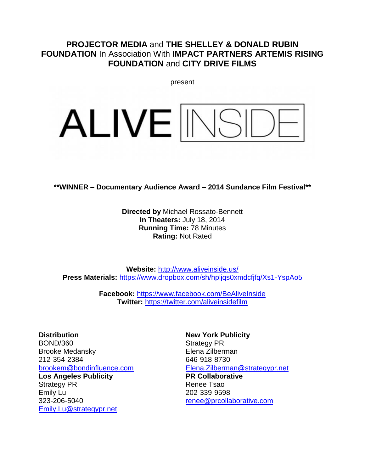# **PROJECTOR MEDIA** and **THE SHELLEY & DONALD RUBIN FOUNDATION** In Association With **IMPACT PARTNERS ARTEMIS RISING FOUNDATION** and **CITY DRIVE FILMS**

present

# ALIVE<sup>INS</sup>

**\*\*WINNER – Documentary Audience Award – 2014 Sundance Film Festival\*\***

**Directed by** Michael Rossato-Bennett **In Theaters:** July 18, 2014 **Running Time:** 78 Minutes **Rating:** Not Rated

**Website:** <http://www.aliveinside.us/> **Press Materials:** <https://www.dropbox.com/sh/hpljqs0xmdcfjfq/Xs1-YspAo5>

> **Facebook:** <https://www.facebook.com/BeAliveInside> **Twitter:** <https://twitter.com/aliveinsidefilm>

**Distribution** BOND/360 Brooke Medansky 212-354-2384 [brookem@bondinfluence.com](mailto:brookem@bondinfluence.com)

**Los Angeles Publicity** Strategy PR Emily Lu 323-206-5040 [Emily.Lu@strategypr.net](mailto:Emily.Lu@strategypr.net)

**New York Publicity**  Strategy PR Elena Zilberman 646-918-8730 [Elena.Zilberman@strategypr.net](mailto:Elena.Zilberman@strategypr.net) **PR Collaborative** Renee Tsao 202-339-9598 [renee@prcollaborative.com](mailto:renee@prcollaborative.com)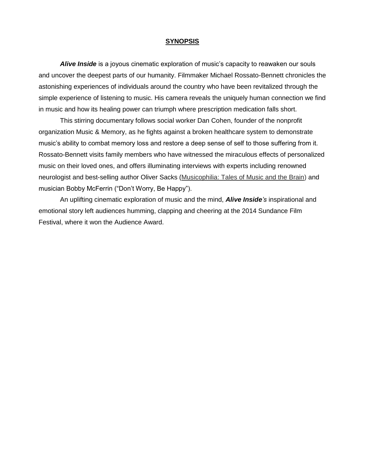#### **SYNOPSIS**

*Alive Inside* is a joyous cinematic exploration of music's capacity to reawaken our souls and uncover the deepest parts of our humanity. Filmmaker Michael Rossato-Bennett chronicles the astonishing experiences of individuals around the country who have been revitalized through the simple experience of listening to music. His camera reveals the uniquely human connection we find in music and how its healing power can triumph where prescription medication falls short.

This stirring documentary follows social worker Dan Cohen, founder of the nonprofit organization Music & Memory, as he fights against a broken healthcare system to demonstrate music's ability to combat memory loss and restore a deep sense of self to those suffering from it. Rossato-Bennett visits family members who have witnessed the miraculous effects of personalized music on their loved ones, and offers illuminating interviews with experts including renowned neurologist and best-selling author Oliver Sacks (Musicophilia: Tales of Music and the Brain) and musician Bobby McFerrin ("Don't Worry, Be Happy").

An uplifting cinematic exploration of music and the mind, *Alive Inside's* inspirational and emotional story left audiences humming, clapping and cheering at the 2014 Sundance Film Festival, where it won the Audience Award.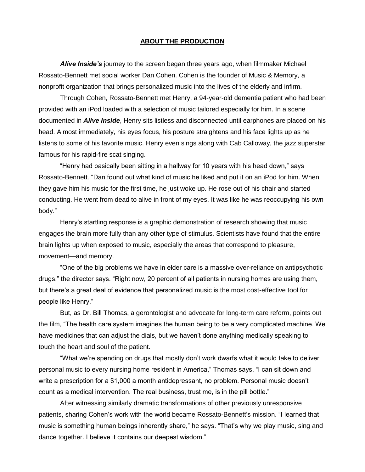#### **ABOUT THE PRODUCTION**

*Alive Inside's* journey to the screen began three years ago, when filmmaker Michael Rossato-Bennett met social worker Dan Cohen. Cohen is the founder of Music & Memory, a nonprofit organization that brings personalized music into the lives of the elderly and infirm.

Through Cohen, Rossato-Bennett met Henry, a 94-year-old dementia patient who had been provided with an iPod loaded with a selection of music tailored especially for him. In a scene documented in *Alive Inside*, Henry sits listless and disconnected until earphones are placed on his head. Almost immediately, his eyes focus, his posture straightens and his face lights up as he listens to some of his favorite music. Henry even sings along with Cab Calloway, the jazz superstar famous for his rapid-fire scat singing.

"Henry had basically been sitting in a hallway for 10 years with his head down," says Rossato-Bennett. "Dan found out what kind of music he liked and put it on an iPod for him. When they gave him his music for the first time, he just woke up. He rose out of his chair and started conducting. He went from dead to alive in front of my eyes. It was like he was reoccupying his own body."

Henry's startling response is a graphic demonstration of research showing that music engages the brain more fully than any other type of stimulus. Scientists have found that the entire brain lights up when exposed to music, especially the areas that correspond to pleasure, movement—and memory.

"One of the big problems we have in elder care is a massive over-reliance on antipsychotic drugs," the director says. "Right now, 20 percent of all patients in nursing homes are using them, but there's a great deal of evidence that personalized music is the most cost-effective tool for people like Henry."

But, as Dr. Bill Thomas, a gerontologist and advocate for long-term care reform, points out the film, "The health care system imagines the human being to be a very complicated machine. We have medicines that can adjust the dials, but we haven't done anything medically speaking to touch the heart and soul of the patient.

"What we're spending on drugs that mostly don't work dwarfs what it would take to deliver personal music to every nursing home resident in America," Thomas says. "I can sit down and write a prescription for a \$1,000 a month antidepressant, no problem. Personal music doesn't count as a medical intervention. The real business, trust me, is in the pill bottle."

After witnessing similarly dramatic transformations of other previously unresponsive patients, sharing Cohen's work with the world became Rossato-Bennett's mission. "I learned that music is something human beings inherently share," he says. "That's why we play music, sing and dance together. I believe it contains our deepest wisdom."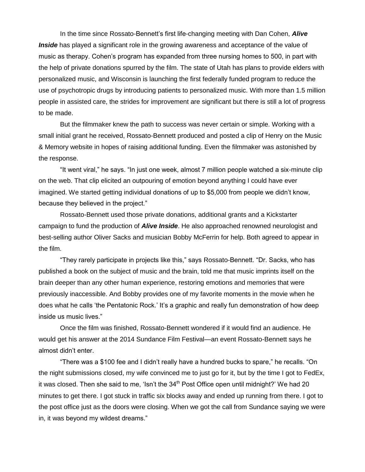In the time since Rossato-Bennett's first life-changing meeting with Dan Cohen, *Alive*  **Inside** has played a significant role in the growing awareness and acceptance of the value of music as therapy. Cohen's program has expanded from three nursing homes to 500, in part with the help of private donations spurred by the film. The state of Utah has plans to provide elders with personalized music, and Wisconsin is launching the first federally funded program to reduce the use of psychotropic drugs by introducing patients to personalized music. With more than 1.5 million people in assisted care, the strides for improvement are significant but there is still a lot of progress to be made.

But the filmmaker knew the path to success was never certain or simple. Working with a small initial grant he received, Rossato-Bennett produced and posted a clip of Henry on the Music & Memory website in hopes of raising additional funding. Even the filmmaker was astonished by the response.

"It went viral," he says. "In just one week, almost 7 million people watched a six-minute clip on the web. That clip elicited an outpouring of emotion beyond anything I could have ever imagined. We started getting individual donations of up to \$5,000 from people we didn't know, because they believed in the project."

Rossato-Bennett used those private donations, additional grants and a Kickstarter campaign to fund the production of *Alive Inside*. He also approached renowned neurologist and best-selling author Oliver Sacks and musician Bobby McFerrin for help. Both agreed to appear in the film.

"They rarely participate in projects like this," says Rossato-Bennett. "Dr. Sacks, who has published a book on the subject of music and the brain, told me that music imprints itself on the brain deeper than any other human experience, restoring emotions and memories that were previously inaccessible. And Bobby provides one of my favorite moments in the movie when he does what he calls 'the Pentatonic Rock.' It's a graphic and really fun demonstration of how deep inside us music lives."

Once the film was finished, Rossato-Bennett wondered if it would find an audience. He would get his answer at the 2014 Sundance Film Festival—an event Rossato-Bennett says he almost didn't enter.

"There was a \$100 fee and I didn't really have a hundred bucks to spare," he recalls. "On the night submissions closed, my wife convinced me to just go for it, but by the time I got to FedEx, it was closed. Then she said to me, 'Isn't the  $34<sup>th</sup>$  Post Office open until midnight?' We had 20 minutes to get there. I got stuck in traffic six blocks away and ended up running from there. I got to the post office just as the doors were closing. When we got the call from Sundance saying we were in, it was beyond my wildest dreams."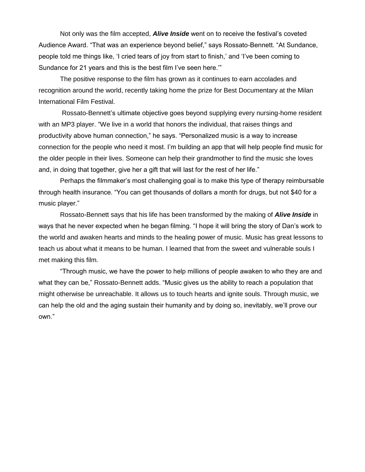Not only was the film accepted, *Alive Inside* went on to receive the festival's coveted Audience Award. "That was an experience beyond belief," says Rossato-Bennett. "At Sundance, people told me things like, 'I cried tears of joy from start to finish,' and 'I've been coming to Sundance for 21 years and this is the best film I've seen here.'"

The positive response to the film has grown as it continues to earn accolades and recognition around the world, recently taking home the prize for Best Documentary at the Milan International Film Festival.

Rossato-Bennett's ultimate objective goes beyond supplying every nursing-home resident with an MP3 player. "We live in a world that honors the individual, that raises things and productivity above human connection," he says. "Personalized music is a way to increase connection for the people who need it most. I'm building an app that will help people find music for the older people in their lives. Someone can help their grandmother to find the music she loves and, in doing that together, give her a gift that will last for the rest of her life."

Perhaps the filmmaker's most challenging goal is to make this type of therapy reimbursable through health insurance. "You can get thousands of dollars a month for drugs, but not \$40 for a music player."

Rossato-Bennett says that his life has been transformed by the making of *Alive Inside* in ways that he never expected when he began filming. "I hope it will bring the story of Dan's work to the world and awaken hearts and minds to the healing power of music. Music has great lessons to teach us about what it means to be human. I learned that from the sweet and vulnerable souls I met making this film.

"Through music, we have the power to help millions of people awaken to who they are and what they can be," Rossato-Bennett adds. "Music gives us the ability to reach a population that might otherwise be unreachable. It allows us to touch hearts and ignite souls. Through music, we can help the old and the aging sustain their humanity and by doing so, inevitably, we'll prove our own."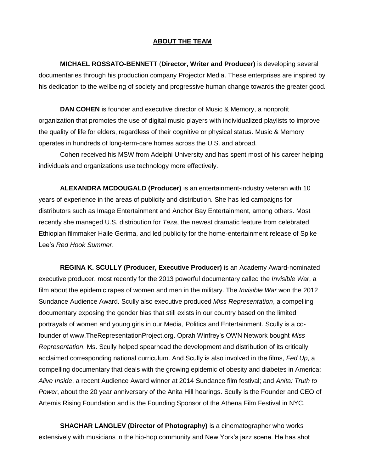## **ABOUT THE TEAM**

**MICHAEL ROSSATO-BENNETT** (**Director, Writer and Producer)** is developing several documentaries through his production company Projector Media. These enterprises are inspired by his dedication to the wellbeing of society and progressive human change towards the greater good.

**DAN COHEN** is founder and executive director of Music & Memory, a nonprofit organization that promotes the use of digital music players with individualized playlists to improve the quality of life for elders, regardless of their cognitive or physical status. Music & Memory operates in hundreds of long-term-care homes across the U.S. and abroad.

Cohen received his MSW from Adelphi University and has spent most of his career helping individuals and organizations use technology more effectively.

**ALEXANDRA MCDOUGALD (Producer)** is an entertainment-industry veteran with 10 years of experience in the areas of publicity and distribution. She has led campaigns for distributors such as Image Entertainment and Anchor Bay Entertainment, among others. Most recently she managed U.S. distribution for *Teza*, the newest dramatic feature from celebrated Ethiopian filmmaker Haile Gerima, and led publicity for the home-entertainment release of Spike Lee's *Red Hook Summer*.

**REGINA K. SCULLY (Producer, Executive Producer)** is an Academy Award-nominated executive producer, most recently for the 2013 powerful documentary called the *Invisible War*, a film about the epidemic rapes of women and men in the military. The *Invisible War* won the 2012 Sundance Audience Award. Scully also executive produced *Miss Representation*, a compelling documentary exposing the gender bias that still exists in our country based on the limited portrayals of women and young girls in our Media, Politics and Entertainment. Scully is a cofounder of www.TheRepresentationProject.org. Oprah Winfrey's OWN Network bought *Miss Representation*. Ms. Scully helped spearhead the development and distribution of its critically acclaimed corresponding national curriculum. And Scully is also involved in the films, *Fed Up*, a compelling documentary that deals with the growing epidemic of obesity and diabetes in America; *Alive Inside*, a recent Audience Award winner at 2014 Sundance film festival; and *Anita: Truth to Power*, about the 20 year anniversary of the Anita Hill hearings. Scully is the Founder and CEO of Artemis Rising Foundation and is the Founding Sponsor of the Athena Film Festival in NYC.

**SHACHAR LANGLEV (Director of Photography)** is a cinematographer who works extensively with musicians in the hip-hop community and New York's jazz scene. He has shot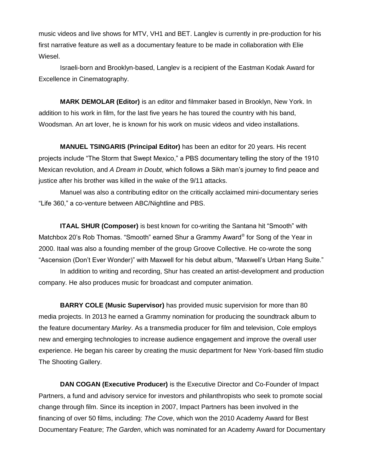music videos and live shows for MTV, VH1 and BET. Langlev is currently in pre-production for his first narrative feature as well as a documentary feature to be made in collaboration with Elie Wiesel.

Israeli-born and Brooklyn-based, Langlev is a recipient of the Eastman Kodak Award for Excellence in Cinematography.

**MARK DEMOLAR (Editor)** is an editor and filmmaker based in Brooklyn, New York. In addition to his work in film, for the last five years he has toured the country with his band, Woodsman. An art lover, he is known for his work on music videos and video installations.

**MANUEL TSINGARIS (Principal Editor)** has been an editor for 20 years. His recent projects include "The Storm that Swept Mexico," a PBS documentary telling the story of the 1910 Mexican revolution, and *A Dream in Doubt*, which follows a Sikh man's journey to find peace and justice after his brother was killed in the wake of the 9/11 attacks.

Manuel was also a contributing editor on the critically acclaimed mini-documentary series "Life 360," a co-venture between ABC/Nightline and PBS.

**ITAAL SHUR (Composer)** is best known for co-writing the Santana hit "Smooth" with Matchbox 20's Rob Thomas. "Smooth" earned Shur a Grammy Award® for Song of the Year in 2000. Itaal was also a founding member of the group Groove Collective. He co-wrote the song "Ascension (Don't Ever Wonder)" with Maxwell for his debut album, "Maxwell's Urban Hang Suite."

In addition to writing and recording, Shur has created an artist-development and production company. He also produces music for broadcast and computer animation.

**BARRY COLE (Music Supervisor)** has provided music supervision for more than 80 media projects. In 2013 he earned a Grammy nomination for producing the soundtrack album to the feature documentary *Marley*. As a transmedia producer for film and television, Cole employs new and emerging technologies to increase audience engagement and improve the overall user experience. He began his career by creating the music department for New York-based film studio The Shooting Gallery.

**DAN COGAN (Executive Producer)** is the Executive Director and Co-Founder of Impact Partners, a fund and advisory service for investors and philanthropists who seek to promote social change through film. Since its inception in 2007, Impact Partners has been involved in the financing of over 50 films, including: *The Cove*, which won the 2010 Academy Award for Best Documentary Feature; *The Garden*, which was nominated for an Academy Award for Documentary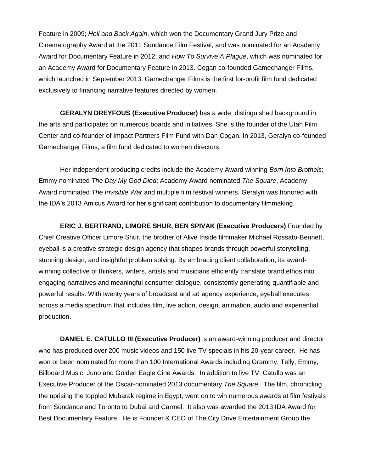Feature in 2009; *Hell and Back Again*, which won the Documentary Grand Jury Prize and Cinematography Award at the 2011 Sundance Film Festival, and was nominated for an Academy Award for Documentary Feature in 2012; and *How To Survive A Plague*, which was nominated for an Academy Award for Documentary Feature in 2013. Cogan co-founded Gamechanger Films, which launched in September 2013. Gamechanger Films is the first for-profit film fund dedicated exclusively to financing narrative features directed by women.

**GERALYN DREYFOUS (Executive Producer)** has a wide, distinguished background in the arts and participates on numerous boards and initiatives. She is the founder of the Utah Film Center and co-founder of Impact Partners Film Fund with Dan Cogan. In 2013, Geralyn co-founded Gamechanger Films, a film fund dedicated to women directors.

Her independent producing credits include the Academy Award winning *Born Into Brothels*; Emmy nominated *The Day My God Died*; Academy Award nominated *The Square*, Academy Award nominated *The Invisible War* and multiple film festival winners. Geralyn was honored with the IDA's 2013 Amicus Award for her significant contribution to documentary filmmaking.

**ERIC J. BERTRAND, LIMORE SHUR, BEN SPIVAK (Executive Producers)** Founded by Chief Creative Officer Limore Shur, the brother of Alive Inside filmmaker Michael Rossato-Bennett, eyeball is a creative strategic design agency that shapes brands through powerful storytelling, stunning design, and insightful problem solving. By embracing client collaboration, its awardwinning collective of thinkers, writers, artists and musicians efficiently translate brand ethos into engaging narratives and meaningful consumer dialogue, consistently generating quantifiable and powerful results. With twenty years of broadcast and ad agency experience, eyeball executes across a media spectrum that includes film, live action, design, animation, audio and experiential production.

**DANIEL E. CATULLO III (Executive Producer)** is an award-winning producer and director who has produced over 200 music videos and 150 live TV specials in his 20-year career. He has won or been nominated for more than 100 International Awards including Grammy, Telly, Emmy, Billboard Music, Juno and Golden Eagle Cine Awards. In addition to live TV, Catullo was an Executive Producer of the Oscar-nominated 2013 documentary *The Square*. The film, chronicling the uprising the toppled Mubarak regime in Egypt, went on to win numerous awards at film festivals from Sundance and Toronto to Dubai and Carmel. It also was awarded the 2013 IDA Award for Best Documentary Feature. He is Founder & CEO of The City Drive Entertainment Group the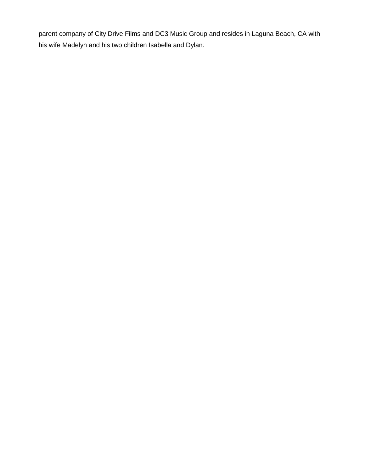parent company of City Drive Films and DC3 Music Group and resides in Laguna Beach, CA with his wife Madelyn and his two children Isabella and Dylan.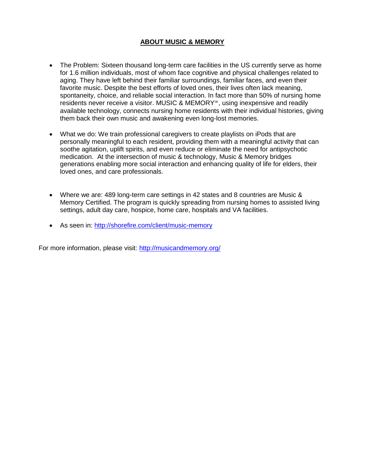# **ABOUT MUSIC & MEMORY**

- The Problem: Sixteen thousand long-term care facilities in the US currently serve as home for 1.6 million individuals, most of whom face cognitive and physical challenges related to aging. They have left behind their familiar surroundings, familiar faces, and even their favorite music. Despite the best efforts of loved ones, their lives often lack meaning, spontaneity, choice, and reliable social interaction. In fact more than 50% of nursing home residents never receive a visitor. MUSIC & MEMORY℠, using inexpensive and readily available technology, connects nursing home residents with their individual histories, giving them back their own music and awakening even long-lost memories.
- What we do: We train professional caregivers to create playlists on iPods that are personally meaningful to each resident, providing them with a meaningful activity that can soothe agitation, uplift spirits, and even reduce or eliminate the need for antipsychotic medication. At the intersection of music & technology, Music & Memory bridges generations enabling more social interaction and enhancing quality of life for elders, their loved ones, and care professionals.
- Where we are: 489 long-term care settings in 42 states and 8 countries are Music & Memory Certified. The program is quickly spreading from nursing homes to assisted living settings, adult day care, hospice, home care, hospitals and VA facilities.
- As seen in:<http://shorefire.com/client/music-memory>

For more information, please visit:<http://musicandmemory.org/>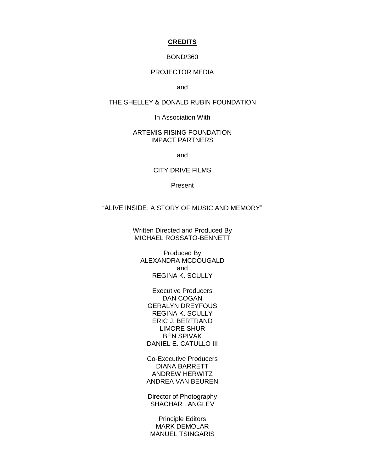#### **CREDITS**

#### BOND/360

## PROJECTOR MEDIA

and

#### THE SHELLEY & DONALD RUBIN FOUNDATION

In Association With

#### ARTEMIS RISING FOUNDATION IMPACT PARTNERS

and

#### CITY DRIVE FILMS

Present

### "ALIVE INSIDE: A STORY OF MUSIC AND MEMORY"

Written Directed and Produced By MICHAEL ROSSATO-BENNETT

Produced By ALEXANDRA MCDOUGALD and REGINA K. SCULLY

Executive Producers DAN COGAN GERALYN DREYFOUS REGINA K. SCULLY ERIC J. BERTRAND LIMORE SHUR BEN SPIVAK DANIEL E. CATULLO III

Co-Executive Producers DIANA BARRETT ANDREW HERWITZ ANDREA VAN BEUREN

Director of Photography SHACHAR LANGLEV

Principle Editors MARK DEMOLAR MANUEL TSINGARIS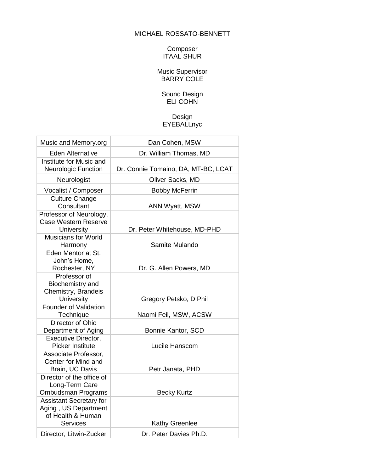# MICHAEL ROSSATO-BENNETT

#### Composer ITAAL SHUR

## Music Supervisor BARRY COLE

#### Sound Design ELI COHN

# Design **EYEBALLnyc**

| Music and Memory.org                                                                           | Dan Cohen, MSW                      |
|------------------------------------------------------------------------------------------------|-------------------------------------|
| <b>Eden Alternative</b>                                                                        | Dr. William Thomas, MD              |
| Institute for Music and<br><b>Neurologic Function</b>                                          | Dr. Connie Tomaino, DA, MT-BC, LCAT |
| Neurologist                                                                                    | Oliver Sacks, MD                    |
| Vocalist / Composer                                                                            | <b>Bobby McFerrin</b>               |
| <b>Culture Change</b><br>Consultant                                                            | <b>ANN Wyatt, MSW</b>               |
| Professor of Neurology,<br><b>Case Western Reserve</b><br><b>University</b>                    | Dr. Peter Whitehouse, MD-PHD        |
| <b>Musicians for World</b><br>Harmony                                                          | Samite Mulando                      |
| Eden Mentor at St.<br>John's Home,<br>Rochester, NY                                            | Dr. G. Allen Powers, MD             |
| Professor of<br>Biochemistry and<br>Chemistry, Brandeis<br>University                          | Gregory Petsko, D Phil              |
| <b>Founder of Validation</b><br>Technique                                                      | Naomi Feil, MSW, ACSW               |
| Director of Ohio<br>Department of Aging                                                        | Bonnie Kantor, SCD                  |
| <b>Executive Director,</b><br><b>Picker Institute</b>                                          | Lucile Hanscom                      |
| Associate Professor,<br>Center for Mind and<br>Brain, UC Davis                                 | Petr Janata, PHD                    |
| Director of the office of<br>Long-Term Care<br>Ombudsman Programs                              | <b>Becky Kurtz</b>                  |
| <b>Assistant Secretary for</b><br>Aging, US Department<br>of Health & Human<br><b>Services</b> | <b>Kathy Greenlee</b>               |
| Director, Litwin-Zucker                                                                        | Dr. Peter Davies Ph.D.              |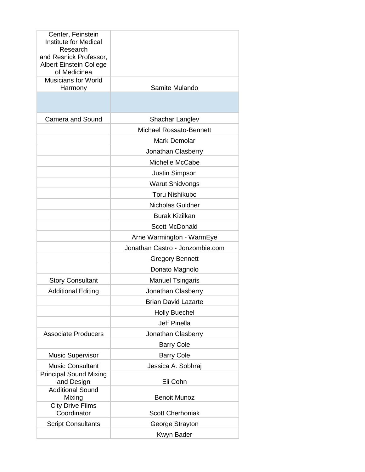| Center, Feinstein<br><b>Institute for Medical</b><br>Research<br>and Resnick Professor,<br><b>Albert Einstein College</b> |                                 |
|---------------------------------------------------------------------------------------------------------------------------|---------------------------------|
| of Medicinea<br><b>Musicians for World</b><br>Harmony                                                                     | Samite Mulando                  |
|                                                                                                                           |                                 |
| <b>Camera and Sound</b>                                                                                                   | Shachar Langlev                 |
|                                                                                                                           | Michael Rossato-Bennett         |
|                                                                                                                           | <b>Mark Demolar</b>             |
|                                                                                                                           | Jonathan Clasberry              |
|                                                                                                                           | Michelle McCabe                 |
|                                                                                                                           | Justin Simpson                  |
|                                                                                                                           | <b>Warut Snidvongs</b>          |
|                                                                                                                           | <b>Toru Nishikubo</b>           |
|                                                                                                                           | <b>Nicholas Guldner</b>         |
|                                                                                                                           | <b>Burak Kizilkan</b>           |
|                                                                                                                           | <b>Scott McDonald</b>           |
|                                                                                                                           | Arne Warmington - WarmEye       |
|                                                                                                                           | Jonathan Castro - Jonzombie.com |
|                                                                                                                           | <b>Gregory Bennett</b>          |
|                                                                                                                           | Donato Magnolo                  |
| <b>Story Consultant</b>                                                                                                   | <b>Manuel Tsingaris</b>         |
| <b>Additional Editing</b>                                                                                                 | Jonathan Clasberry              |
|                                                                                                                           | <b>Brian David Lazarte</b>      |
|                                                                                                                           | <b>Holly Buechel</b>            |
|                                                                                                                           | <b>Jeff Pinella</b>             |
| <b>Associate Producers</b>                                                                                                | Jonathan Clasberry              |
|                                                                                                                           | <b>Barry Cole</b>               |
| <b>Music Supervisor</b>                                                                                                   | <b>Barry Cole</b>               |
| <b>Music Consultant</b>                                                                                                   | Jessica A. Sobhraj              |
| <b>Principal Sound Mixing</b>                                                                                             |                                 |
| and Design<br><b>Additional Sound</b>                                                                                     | Eli Cohn                        |
| Mixing                                                                                                                    | <b>Benoit Munoz</b>             |
| <b>City Drive Films</b><br>Coordinator                                                                                    | <b>Scott Cherhoniak</b>         |
| <b>Script Consultants</b>                                                                                                 | George Strayton                 |
|                                                                                                                           | Kwyn Bader                      |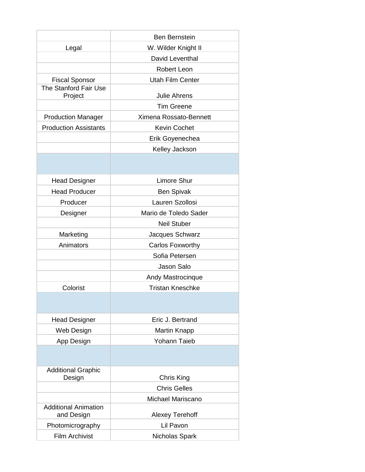|                                           | <b>Ben Bernstein</b>    |  |
|-------------------------------------------|-------------------------|--|
| Legal                                     | W. Wilder Knight II     |  |
|                                           | David Leventhal         |  |
|                                           | <b>Robert Leon</b>      |  |
| <b>Fiscal Sponsor</b>                     | <b>Utah Film Center</b> |  |
| The Stanford Fair Use<br>Project          | <b>Julie Ahrens</b>     |  |
|                                           | <b>Tim Greene</b>       |  |
| <b>Production Manager</b>                 | Ximena Rossato-Bennett  |  |
| <b>Production Assistants</b>              | <b>Kevin Cochet</b>     |  |
|                                           | Erik Goyenechea         |  |
|                                           | Kelley Jackson          |  |
|                                           |                         |  |
| <b>Head Designer</b>                      | <b>Limore Shur</b>      |  |
| <b>Head Producer</b>                      | <b>Ben Spivak</b>       |  |
| Producer                                  | Lauren Szollosi         |  |
| Designer                                  | Mario de Toledo Sader   |  |
|                                           | <b>Neil Stuber</b>      |  |
| Marketing                                 | Jacques Schwarz         |  |
| Animators                                 | Carlos Foxworthy        |  |
|                                           | Sofia Petersen          |  |
|                                           | <b>Jason Salo</b>       |  |
|                                           | Andy Mastrocinque       |  |
| Colorist                                  | <b>Tristan Kneschke</b> |  |
|                                           |                         |  |
| <b>Head Designer</b>                      | Eric J. Bertrand        |  |
| Web Design                                | Martin Knapp            |  |
| App Design                                | <b>Yohann Taieb</b>     |  |
|                                           |                         |  |
| <b>Additional Graphic</b><br>Design       | Chris King              |  |
|                                           | <b>Chris Gelles</b>     |  |
|                                           | Michael Mariscano       |  |
| <b>Additional Animation</b><br>and Design | <b>Alexey Terehoff</b>  |  |
| Photomicrography                          | Lil Pavon               |  |
| <b>Film Archivist</b>                     | Nicholas Spark          |  |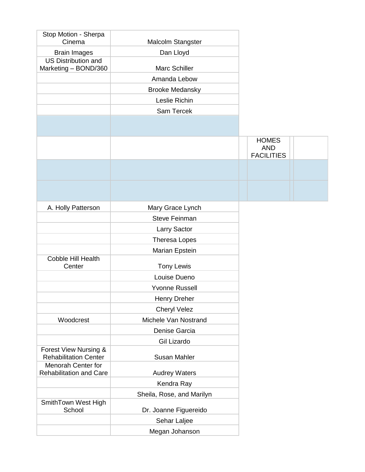| Stop Motion - Sherpa<br>Cinema                     | Malcolm Stangster         |                                                 |  |
|----------------------------------------------------|---------------------------|-------------------------------------------------|--|
| <b>Brain Images</b>                                | Dan Lloyd                 |                                                 |  |
| <b>US Distribution and</b><br>Marketing - BOND/360 | Marc Schiller             |                                                 |  |
|                                                    |                           |                                                 |  |
|                                                    | Amanda Lebow              |                                                 |  |
|                                                    | <b>Brooke Medansky</b>    |                                                 |  |
|                                                    | Leslie Richin             |                                                 |  |
|                                                    | Sam Tercek                |                                                 |  |
|                                                    |                           |                                                 |  |
|                                                    |                           | <b>HOMES</b><br><b>AND</b><br><b>FACILITIES</b> |  |
|                                                    |                           |                                                 |  |
|                                                    |                           |                                                 |  |
| A. Holly Patterson                                 | Mary Grace Lynch          |                                                 |  |
|                                                    | <b>Steve Feinman</b>      |                                                 |  |
|                                                    | Larry Sactor              |                                                 |  |
|                                                    | Theresa Lopes             |                                                 |  |
|                                                    | Marian Epstein            |                                                 |  |
| Cobble Hill Health<br>Center                       | <b>Tony Lewis</b>         |                                                 |  |
|                                                    | Louise Dueno              |                                                 |  |
|                                                    | <b>Yvonne Russell</b>     |                                                 |  |
|                                                    | <b>Henry Dreher</b>       |                                                 |  |
|                                                    | <b>Cheryl Velez</b>       |                                                 |  |
| Woodcrest                                          | Michele Van Nostrand      |                                                 |  |
|                                                    | Denise Garcia             |                                                 |  |
|                                                    | Gil Lizardo               |                                                 |  |
| Forest View Nursing &                              |                           |                                                 |  |
| <b>Rehabilitation Center</b><br>Menorah Center for | <b>Susan Mahler</b>       |                                                 |  |
| <b>Rehabilitation and Care</b>                     | <b>Audrey Waters</b>      |                                                 |  |
|                                                    | Kendra Ray                |                                                 |  |
|                                                    | Sheila, Rose, and Marilyn |                                                 |  |
| SmithTown West High<br>School                      | Dr. Joanne Figuereido     |                                                 |  |
|                                                    | Sehar Laljee              |                                                 |  |
|                                                    | Megan Johanson            |                                                 |  |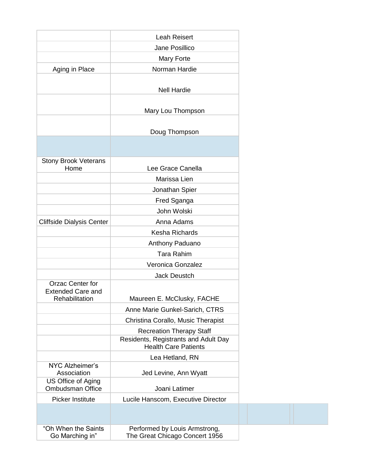|                                               | <b>Leah Reisert</b>                                                 |
|-----------------------------------------------|---------------------------------------------------------------------|
|                                               | Jane Posillico                                                      |
|                                               | Mary Forte                                                          |
| Aging in Place                                | Norman Hardie                                                       |
|                                               |                                                                     |
|                                               | <b>Nell Hardie</b>                                                  |
|                                               |                                                                     |
|                                               | Mary Lou Thompson                                                   |
|                                               |                                                                     |
|                                               | Doug Thompson                                                       |
|                                               |                                                                     |
|                                               |                                                                     |
| <b>Stony Brook Veterans</b><br>Home           | Lee Grace Canella                                                   |
|                                               | Marissa Lien                                                        |
|                                               | Jonathan Spier                                                      |
|                                               | Fred Sganga                                                         |
|                                               | John Wolski                                                         |
| <b>Cliffside Dialysis Center</b>              | Anna Adams                                                          |
|                                               | Kesha Richards                                                      |
|                                               | Anthony Paduano                                                     |
|                                               | <b>Tara Rahim</b>                                                   |
|                                               | Veronica Gonzalez                                                   |
|                                               | <b>Jack Deustch</b>                                                 |
| <b>Orzac Center for</b>                       |                                                                     |
| <b>Extended Care and</b><br>Rehabilitation    | Maureen E. McClusky, FACHE                                          |
|                                               | Anne Marie Gunkel-Sarich, CTRS                                      |
|                                               | Christina Corallo, Music Therapist                                  |
|                                               | <b>Recreation Therapy Staff</b>                                     |
|                                               | Residents, Registrants and Adult Day<br><b>Health Care Patients</b> |
|                                               | Lea Hetland, RN                                                     |
| NYC Alzheimer's<br>Association                | Jed Levine, Ann Wyatt                                               |
| US Office of Aging<br><b>Ombudsman Office</b> | Joani Latimer                                                       |
| <b>Picker Institute</b>                       | Lucile Hanscom, Executive Director                                  |
|                                               |                                                                     |
| "Oh When the Saints<br>Go Marching in"        | Performed by Louis Armstrong,<br>The Great Chicago Concert 1956     |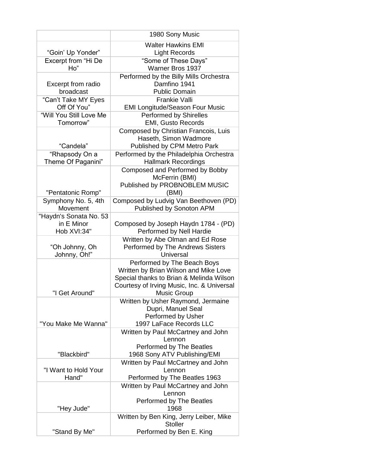|                         | 1980 Sony Music                            |
|-------------------------|--------------------------------------------|
|                         |                                            |
|                         | <b>Walter Hawkins EMI</b>                  |
| "Goin' Up Yonder"       | <b>Light Records</b>                       |
| Excerpt from "Hi De     | "Some of These Days"                       |
| Ho"                     | Warner Bros 1937                           |
|                         | Performed by the Billy Mills Orchestra     |
| Excerpt from radio      | Damfino 1941                               |
| broadcast               | <b>Public Domain</b>                       |
| "Can't Take MY Eyes     | <b>Frankie Valli</b>                       |
| Off Of You"             | <b>EMI Longitude/Season Four Music</b>     |
| "Will You Still Love Me | Performed by Shirelles                     |
| Tomorrow"               | <b>EMI, Gusto Records</b>                  |
|                         | Composed by Christian Francois, Luis       |
|                         | Haseth, Simon Wadmore                      |
| "Candela"               |                                            |
|                         | Published by CPM Metro Park                |
| "Rhapsody On a          | Performed by the Philadelphia Orchestra    |
| Theme Of Paganini"      | <b>Hallmark Recordings</b>                 |
|                         | Composed and Performed by Bobby            |
|                         | McFerrin (BMI)                             |
|                         | Published by PROBNOBLEM MUSIC              |
| "Pentatonic Romp"       | (BMI)                                      |
| Symphony No. 5, 4th     | Composed by Ludvig Van Beethoven (PD)      |
| Movement                | Published by Sonoton APM                   |
| "Haydn's Sonata No. 53  |                                            |
| in E Minor              | Composed by Joseph Haydn 1784 - (PD)       |
| Hob XVI:34"             | Performed by Nell Hardie                   |
|                         | Written by Abe Olman and Ed Rose           |
| "Oh Johnny, Oh          | Performed by The Andrews Sisters           |
| Johnny, Oh!"            | Universal                                  |
|                         | Performed by The Beach Boys                |
|                         | Written by Brian Wilson and Mike Love      |
|                         | Special thanks to Brian & Melinda Wilson   |
|                         | Courtesy of Irving Music, Inc. & Universal |
| "I Get Around"          | <b>Music Group</b>                         |
|                         | Written by Usher Raymond, Jermaine         |
|                         | Dupri, Manuel Seal                         |
|                         | Performed by Usher                         |
| "You Make Me Wanna"     | 1997 LaFace Records LLC                    |
|                         | Written by Paul McCartney and John         |
|                         | Lennon                                     |
|                         | Performed by The Beatles                   |
| "Blackbird"             | 1968 Sony ATV Publishing/EMI               |
|                         | Written by Paul McCartney and John         |
| "I Want to Hold Your    | Lennon                                     |
| Hand"                   | Performed by The Beatles 1963              |
|                         | Written by Paul McCartney and John         |
|                         | Lennon                                     |
|                         | Performed by The Beatles                   |
|                         | 1968                                       |
| "Hey Jude"              |                                            |
|                         | Written by Ben King, Jerry Leiber, Mike    |
|                         | <b>Stoller</b>                             |
| "Stand By Me"           | Performed by Ben E. King                   |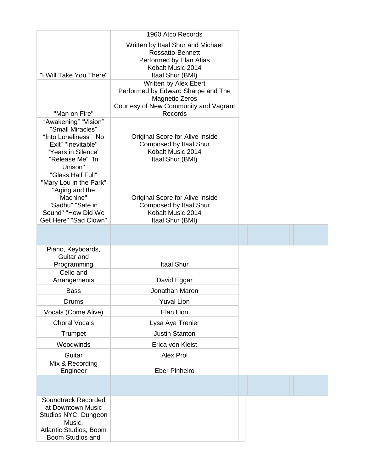|                                                                                                                                              | 1960 Atco Records                                                                                                                        |  |
|----------------------------------------------------------------------------------------------------------------------------------------------|------------------------------------------------------------------------------------------------------------------------------------------|--|
| "I Will Take You There"                                                                                                                      | Written by Itaal Shur and Michael<br>Rossatto-Bennett<br>Performed by Elan Atias<br>Kobalt Music 2014<br>Itaal Shur (BMI)                |  |
| "Man on Fire"                                                                                                                                | Written by Alex Ebert<br>Performed by Edward Sharpe and The<br><b>Magnetic Zeros</b><br>Courtesy of New Community and Vagrant<br>Records |  |
| "Awakening" "Vision"<br>"Small Miracles"<br>"Into Loneliness" "No<br>Exit" "Inevitable"<br>"Years in Silence"<br>"Release Me" "In<br>Unison" | Original Score for Alive Inside<br>Composed by Itaal Shur<br>Kobalt Music 2014<br>Itaal Shur (BMI)                                       |  |
| "Glass Half Full"<br>"Mary Lou in the Park"<br>"Aging and the<br>Machine"<br>"Sadhu" "Safe in<br>Sound" "How Did We<br>Get Here" "Sad Clown" | Original Score for Alive Inside<br>Composed by Itaal Shur<br>Kobalt Music 2014<br>Itaal Shur (BMI)                                       |  |
|                                                                                                                                              |                                                                                                                                          |  |
| Piano, Keyboards,<br>Guitar and<br>Programming                                                                                               | Itaal Shur                                                                                                                               |  |
| Cello and<br>Arrangements                                                                                                                    | David Eggar                                                                                                                              |  |
| <b>Bass</b>                                                                                                                                  | Jonathan Maron                                                                                                                           |  |
| <b>Drums</b>                                                                                                                                 | <b>Yuval Lion</b>                                                                                                                        |  |
| Vocals (Come Alive)                                                                                                                          | Elan Lion                                                                                                                                |  |
| <b>Choral Vocals</b>                                                                                                                         | Lysa Aya Trenier                                                                                                                         |  |
| Trumpet                                                                                                                                      | <b>Justin Stanton</b>                                                                                                                    |  |
| Woodwinds                                                                                                                                    | Erica von Kleist                                                                                                                         |  |
| Guitar                                                                                                                                       | Alex Prol                                                                                                                                |  |
| Mix & Recording<br>Engineer                                                                                                                  | <b>Eber Pinheiro</b>                                                                                                                     |  |
|                                                                                                                                              |                                                                                                                                          |  |
| Soundtrack Recorded<br>at Downtown Music<br>Studios NYC, Dungeon<br>Music,<br>Atlantic Studios, Boom<br>Boom Studios and                     |                                                                                                                                          |  |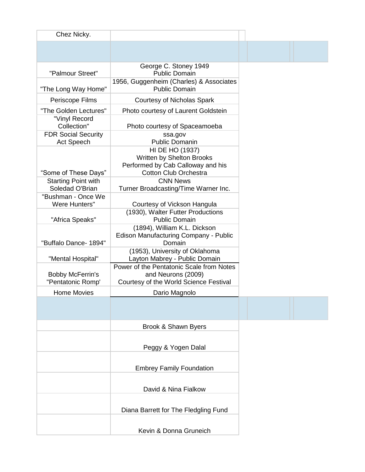| Chez Nicky.                                     |                                                                                                                   |  |  |
|-------------------------------------------------|-------------------------------------------------------------------------------------------------------------------|--|--|
|                                                 |                                                                                                                   |  |  |
| "Palmour Street"                                | George C. Stoney 1949<br><b>Public Domain</b>                                                                     |  |  |
| "The Long Way Home"                             | 1956, Guggenheim (Charles) & Associates<br><b>Public Domain</b>                                                   |  |  |
| Periscope Films                                 | Courtesy of Nicholas Spark                                                                                        |  |  |
| "The Golden Lectures"                           | Photo courtesy of Laurent Goldstein                                                                               |  |  |
| "Vinyl Record<br>Collection"                    | Photo courtesy of Spaceamoeba                                                                                     |  |  |
| <b>FDR Social Security</b><br><b>Act Speech</b> | ssa.gov<br><b>Public Domanin</b>                                                                                  |  |  |
| "Some of These Days"                            | HI DE HO (1937)<br>Written by Shelton Brooks<br>Performed by Cab Calloway and his<br><b>Cotton Club Orchestra</b> |  |  |
| <b>Starting Point with</b><br>Soledad O'Brian   | <b>CNN News</b><br>Turner Broadcasting/Time Warner Inc.                                                           |  |  |
| "Bushman - Once We<br>Were Hunters"             | Courtesy of Vickson Hangula                                                                                       |  |  |
| "Africa Speaks"                                 | (1930), Walter Futter Productions<br><b>Public Domain</b>                                                         |  |  |
| "Buffalo Dance- 1894"                           | (1894), William K.L. Dickson<br>Edison Manufacturing Company - Public<br>Domain                                   |  |  |
| "Mental Hospital"                               | (1953), University of Oklahoma<br>Layton Mabrey - Public Domain                                                   |  |  |
| <b>Bobby McFerrin's</b><br>"Pentatonic Romp'    | Power of the Pentatonic Scale from Notes<br>and Neurons (2009)<br>Courtesy of the World Science Festival          |  |  |
| <b>Home Movies</b>                              | Dario Magnolo                                                                                                     |  |  |
|                                                 |                                                                                                                   |  |  |
|                                                 | Brook & Shawn Byers                                                                                               |  |  |
|                                                 | Peggy & Yogen Dalal                                                                                               |  |  |
|                                                 | <b>Embrey Family Foundation</b>                                                                                   |  |  |
|                                                 | David & Nina Fialkow                                                                                              |  |  |
|                                                 | Diana Barrett for The Fledgling Fund                                                                              |  |  |
|                                                 | Kevin & Donna Gruneich                                                                                            |  |  |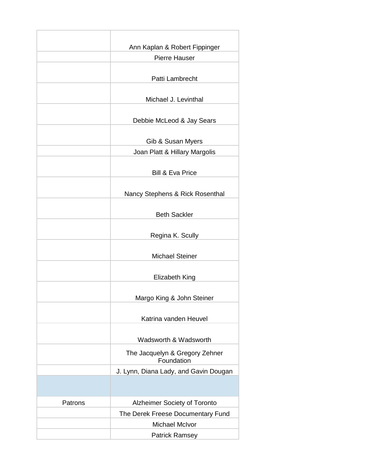|         | Ann Kaplan & Robert Fippinger                |  |
|---------|----------------------------------------------|--|
|         | <b>Pierre Hauser</b>                         |  |
|         |                                              |  |
|         | Patti Lambrecht                              |  |
|         |                                              |  |
|         | Michael J. Levinthal                         |  |
|         |                                              |  |
|         | Debbie McLeod & Jay Sears                    |  |
|         |                                              |  |
|         | Gib & Susan Myers                            |  |
|         | Joan Platt & Hillary Margolis                |  |
|         |                                              |  |
|         | <b>Bill &amp; Eva Price</b>                  |  |
|         |                                              |  |
|         | Nancy Stephens & Rick Rosenthal              |  |
|         |                                              |  |
|         | <b>Beth Sackler</b>                          |  |
|         |                                              |  |
|         | Regina K. Scully                             |  |
|         |                                              |  |
|         | <b>Michael Steiner</b>                       |  |
|         |                                              |  |
|         | <b>Elizabeth King</b>                        |  |
|         |                                              |  |
|         | Margo King & John Steiner                    |  |
|         |                                              |  |
|         | Katrina vanden Heuvel                        |  |
|         |                                              |  |
|         | Wadsworth & Wadsworth                        |  |
|         | The Jacquelyn & Gregory Zehner<br>Foundation |  |
|         | J. Lynn, Diana Lady, and Gavin Dougan        |  |
|         |                                              |  |
|         |                                              |  |
| Patrons | <b>Alzheimer Society of Toronto</b>          |  |
|         | The Derek Freese Documentary Fund            |  |
|         | <b>Michael McIvor</b>                        |  |
|         | <b>Patrick Ramsey</b>                        |  |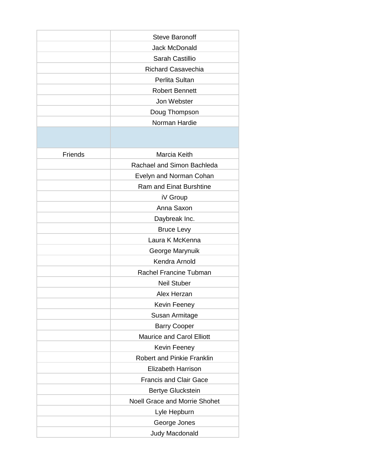|                | <b>Steve Baronoff</b>                |
|----------------|--------------------------------------|
|                | <b>Jack McDonald</b>                 |
|                | Sarah Castillio                      |
|                | <b>Richard Casavechia</b>            |
|                | Perlita Sultan                       |
|                | <b>Robert Bennett</b>                |
|                | Jon Webster                          |
|                | Doug Thompson                        |
|                | Norman Hardie                        |
|                |                                      |
| <b>Friends</b> | Marcia Keith                         |
|                | Rachael and Simon Bachleda           |
|                | Evelyn and Norman Cohan              |
|                | <b>Ram and Einat Burshtine</b>       |
|                | iV Group                             |
|                | Anna Saxon                           |
|                | Daybreak Inc.                        |
|                | <b>Bruce Levy</b>                    |
|                | Laura K McKenna                      |
|                | George Marynuik                      |
|                | Kendra Arnold                        |
|                | Rachel Francine Tubman               |
|                | <b>Neil Stuber</b>                   |
|                | Alex Herzan                          |
|                | Kevin Feeney                         |
|                | Susan Armitage                       |
|                | <b>Barry Cooper</b>                  |
|                | <b>Maurice and Carol Elliott</b>     |
|                | Kevin Feeney                         |
|                | <b>Robert and Pinkie Franklin</b>    |
|                | <b>Elizabeth Harrison</b>            |
|                | <b>Francis and Clair Gace</b>        |
|                | <b>Bertye Gluckstein</b>             |
|                | <b>Noell Grace and Morrie Shohet</b> |
|                | Lyle Hepburn                         |
|                | George Jones                         |
|                | Judy Macdonald                       |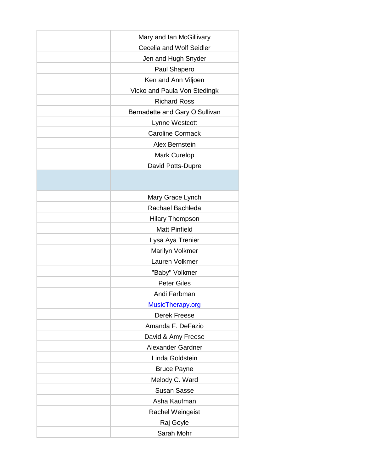| Mary and Ian McGillivary       |  |
|--------------------------------|--|
| Cecelia and Wolf Seidler       |  |
| Jen and Hugh Snyder            |  |
| Paul Shapero                   |  |
| Ken and Ann Viljoen            |  |
| Vicko and Paula Von Stedingk   |  |
| <b>Richard Ross</b>            |  |
| Bernadette and Gary O'Sullivan |  |
| Lynne Westcott                 |  |
| <b>Caroline Cormack</b>        |  |
| Alex Bernstein                 |  |
| <b>Mark Curelop</b>            |  |
| David Potts-Dupre              |  |
|                                |  |
|                                |  |
| Mary Grace Lynch               |  |
| Rachael Bachleda               |  |
| <b>Hilary Thompson</b>         |  |
| <b>Matt Pinfield</b>           |  |
| Lysa Aya Trenier               |  |
| Marilyn Volkmer                |  |
| Lauren Volkmer                 |  |
| "Baby" Volkmer                 |  |
| <b>Peter Giles</b>             |  |
| Andi Farbman                   |  |
| MusicTherapy.org               |  |
| Derek Freese                   |  |
| Amanda F. DeFazio              |  |
| David & Amy Freese             |  |
| <b>Alexander Gardner</b>       |  |
| Linda Goldstein                |  |
| <b>Bruce Payne</b>             |  |
| Melody C. Ward                 |  |
| <b>Susan Sasse</b>             |  |
| Asha Kaufman                   |  |
| <b>Rachel Weingeist</b>        |  |
| Raj Goyle                      |  |
| Sarah Mohr                     |  |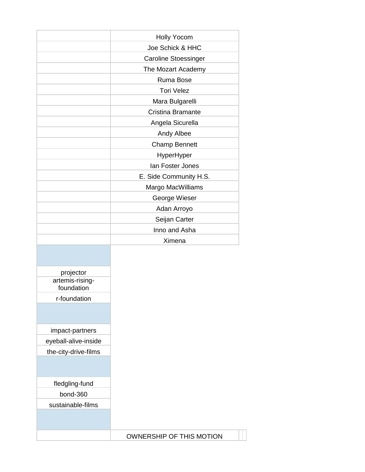|                               | <b>Holly Yocom</b>          |
|-------------------------------|-----------------------------|
|                               | Joe Schick & HHC            |
|                               | <b>Caroline Stoessinger</b> |
|                               | The Mozart Academy          |
|                               | Ruma Bose                   |
|                               | <b>Tori Velez</b>           |
|                               | Mara Bulgarelli             |
|                               | Cristina Bramante           |
|                               | Angela Sicurella            |
|                               | Andy Albee                  |
|                               | <b>Champ Bennett</b>        |
|                               | HyperHyper                  |
|                               | Ian Foster Jones            |
|                               | E. Side Community H.S.      |
|                               | Margo MacWilliams           |
|                               | George Wieser               |
|                               | Adan Arroyo                 |
|                               | Seijan Carter               |
|                               | Inno and Asha               |
|                               | Ximena                      |
|                               |                             |
|                               |                             |
| projector                     |                             |
| artemis-rising-<br>foundation |                             |
| r-foundation                  |                             |
|                               |                             |
|                               |                             |
| impact-partners               |                             |
| eyeball-alive-inside          |                             |
| the-city-drive-films          |                             |
|                               |                             |
| fledgling-fund                |                             |
| bond-360                      |                             |
| sustainable-films             |                             |
|                               |                             |
|                               |                             |
|                               | OWNERSHIP OF THIS MOTION    |